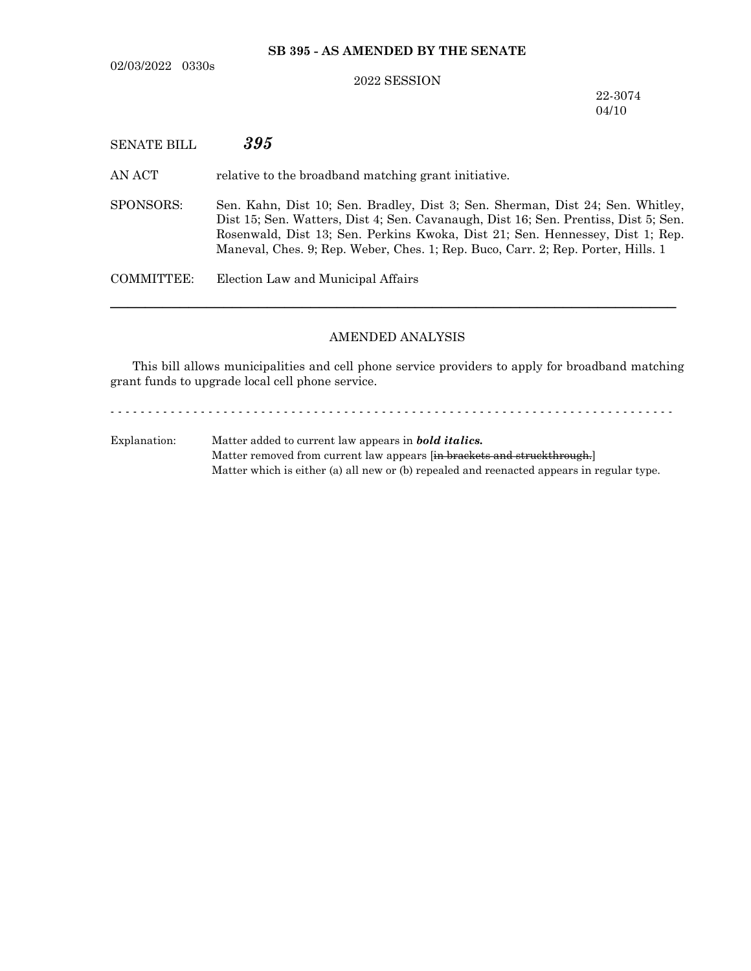02/03/2022 0330s

## **SB 395 - AS AMENDED BY THE SENATE**

## 2022 SESSION

22-3074 04/10

| <b>SENATE BILL</b> | 395                                                                                                                                                                                                                                                                                                                                        |
|--------------------|--------------------------------------------------------------------------------------------------------------------------------------------------------------------------------------------------------------------------------------------------------------------------------------------------------------------------------------------|
| AN ACT             | relative to the broadband matching grant initiative.                                                                                                                                                                                                                                                                                       |
| SPONSORS:          | Sen. Kahn, Dist 10; Sen. Bradley, Dist 3; Sen. Sherman, Dist 24; Sen. Whitley,<br>Dist 15; Sen. Watters, Dist 4; Sen. Cavanaugh, Dist 16; Sen. Prentiss, Dist 5; Sen.<br>Rosenwald, Dist 13; Sen. Perkins Kwoka, Dist 21; Sen. Hennessey, Dist 1; Rep.<br>Maneval, Ches. 9; Rep. Weber, Ches. 1; Rep. Buco, Carr. 2; Rep. Porter, Hills. 1 |
| COMMITTEE:         | Election Law and Municipal Affairs                                                                                                                                                                                                                                                                                                         |
|                    |                                                                                                                                                                                                                                                                                                                                            |

## AMENDED ANALYSIS

This bill allows municipalities and cell phone service providers to apply for broadband matching grant funds to upgrade local cell phone service.

- - - - - - - - - - - - - - - - - - - - - - - - - - - - - - - - - - - - - - - - - - - - - - - - - - - - - - - - - - - - - - - - - - - - - - - - - - -

Explanation: Matter added to current law appears in *bold italics.* Matter removed from current law appears [in brackets and struckthrough.] Matter which is either (a) all new or (b) repealed and reenacted appears in regular type.